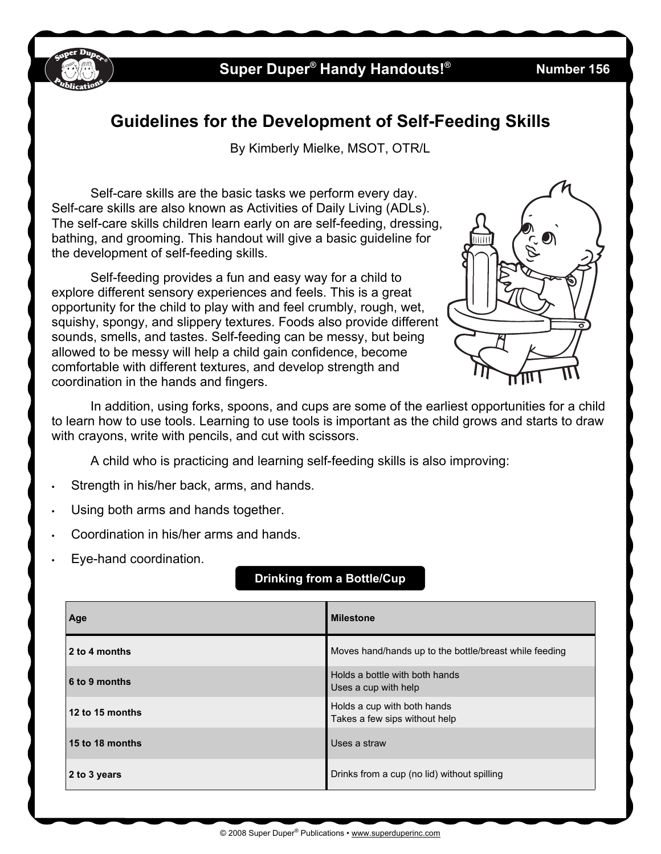

## **Super Duper® Handy Handouts!**

**® Number 156**

### **Guidelines for the Development of Self-Feeding Skills**

By Kimberly Mielke, MSOT, OTR/L

Self-care skills are the basic tasks we perform every day. Self-care skills are also known as Activities of Daily Living (ADLs). The self-care skills children learn early on are self-feeding, dressing, bathing, and grooming. This handout will give a basic guideline for the development of self-feeding skills.

Self-feeding provides a fun and easy way for a child to explore different sensory experiences and feels. This is a great opportunity for the child to play with and feel crumbly, rough, wet, squishy, spongy, and slippery textures. Foods also provide different sounds, smells, and tastes. Self-feeding can be messy, but being allowed to be messy will help a child gain confidence, become comfortable with different textures, and develop strength and coordination in the hands and fingers.



In addition, using forks, spoons, and cups are some of the earliest opportunities for a child to learn how to use tools. Learning to use tools is important as the child grows and starts to draw with crayons, write with pencils, and cut with scissors.

A child who is practicing and learning self-feeding skills is also improving:

- Strength in his/her back, arms, and hands.
- Using both arms and hands together.
- Coordination in his/her arms and hands.
- Eye-hand coordination.

| Age             | <b>Milestone</b>                                             |
|-----------------|--------------------------------------------------------------|
| 2 to 4 months   | Moves hand/hands up to the bottle/breast while feeding       |
| 6 to 9 months   | Holds a bottle with both hands<br>Uses a cup with help       |
| 12 to 15 months | Holds a cup with both hands<br>Takes a few sips without help |
| 15 to 18 months | Uses a straw                                                 |
| 2 to 3 years    | Drinks from a cup (no lid) without spilling                  |

**Drinking from a Bottle/Cup**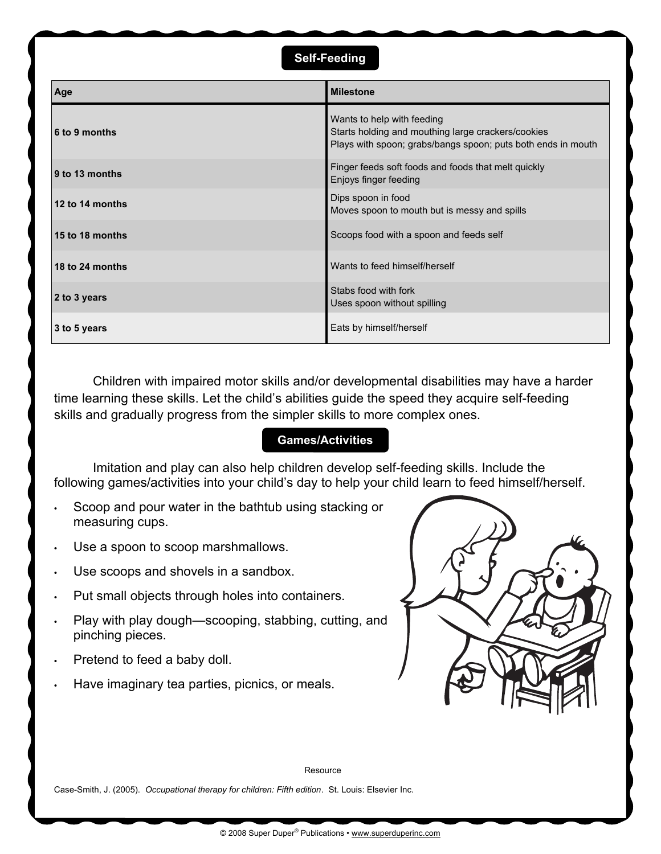#### **Self-Feeding**

| Age             | <b>Milestone</b>                                                                                                                                 |
|-----------------|--------------------------------------------------------------------------------------------------------------------------------------------------|
| 6 to 9 months   | Wants to help with feeding<br>Starts holding and mouthing large crackers/cookies<br>Plays with spoon; grabs/bangs spoon; puts both ends in mouth |
| 9 to 13 months  | Finger feeds soft foods and foods that melt quickly<br>Enjoys finger feeding                                                                     |
| 12 to 14 months | Dips spoon in food<br>Moves spoon to mouth but is messy and spills                                                                               |
| 15 to 18 months | Scoops food with a spoon and feeds self                                                                                                          |
| 18 to 24 months | Wants to feed himself/herself                                                                                                                    |
| 2 to 3 years    | Stabs food with fork<br>Uses spoon without spilling                                                                                              |
| 3 to 5 years    | Eats by himself/herself                                                                                                                          |

Children with impaired motor skills and/or developmental disabilities may have a harder time learning these skills. Let the child's abilities guide the speed they acquire self-feeding skills and gradually progress from the simpler skills to more complex ones.

#### **Games/Activities**

Imitation and play can also help children develop self-feeding skills. Include the following games/activities into your child's day to help your child learn to feed himself/herself.

- Scoop and pour water in the bathtub using stacking or measuring cups.
- Use a spoon to scoop marshmallows.
- Use scoops and shovels in a sandbox.
- Put small objects through holes into containers.
- Play with play dough—scooping, stabbing, cutting, and pinching pieces.
- Pretend to feed a baby doll.
- Have imaginary tea parties, picnics, or meals.



Resource

Case-Smith, J. (2005). *Occupational therapy for children: Fifth edition*. St. Louis: Elsevier Inc.